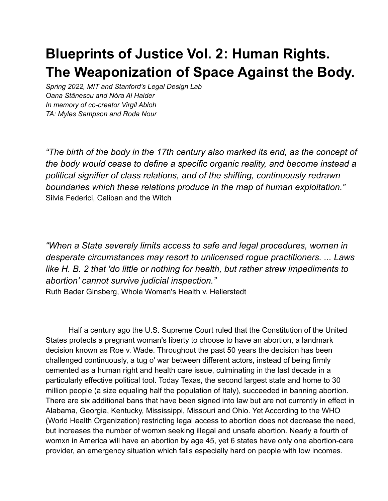## **Blueprints of Justice Vol. 2: Human Rights. The Weaponization of Space Against the Body.**

*Spring 2022, MIT and Stanford's Legal Design Lab Oana Stănescu and Nóra Al Haider In memory of co-creator Virgil Abloh TA: Myles Sampson and Roda Nour*

*"The birth of the body in the 17th century also marked its end, as the concept of the body would cease to define a specific organic reality, and become instead a political signifier of class relations, and of the shifting, continuously redrawn boundaries which these relations produce in the map of human exploitation."* Silvia Federici, Caliban and the Witch

*"When a State severely limits access to safe and legal procedures, women in desperate circumstances may resort to unlicensed rogue practitioners. ... Laws like H. B. 2 that 'do little or nothing for health, but rather strew impediments to abortion' cannot survive judicial inspection."* Ruth Bader Ginsberg, Whole Woman's Health v. Hellerstedt

Half a century ago the U.S. Supreme Court ruled that the Constitution of the United States protects a pregnant woman's liberty to choose to have an abortion, a landmark decision known as Roe v. Wade. Throughout the past 50 years the decision has been challenged continuously, a tug o' war between different actors, instead of being firmly cemented as a human right and health care issue, culminating in the last decade in a particularly effective political tool. Today Texas, the second largest state and home to 30 million people (a size equaling half the population of Italy), succeeded in banning abortion. There are six additional bans that have been signed into law but are not currently in effect in Alabama, Georgia, Kentucky, Mississippi, Missouri and Ohio. Yet According to the WHO (World Health Organization) restricting legal access to abortion does not decrease the need, but increases the number of womxn seeking illegal and unsafe abortion. Nearly a fourth of womxn in America will have an abortion by age 45, yet 6 states have only one abortion-care provider, an emergency situation which falls especially hard on people with low incomes.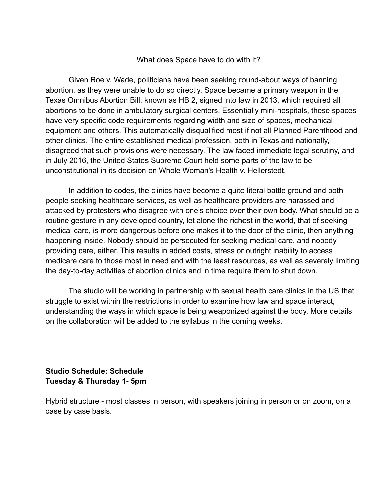## What does Space have to do with it?

Given Roe v. Wade, politicians have been seeking round-about ways of banning abortion, as they were unable to do so directly. Space became a primary weapon in the Texas Omnibus Abortion Bill, known as HB 2, signed into law in 2013, which required all abortions to be done in ambulatory surgical centers. Essentially mini-hospitals, these spaces have very specific code requirements regarding width and size of spaces, mechanical equipment and others. This automatically disqualified most if not all Planned Parenthood and other clinics. The entire established medical profession, both in Texas and nationally, disagreed that such provisions were necessary. The law faced immediate legal scrutiny, and in July 2016, the United States Supreme Court held some parts of the law to be unconstitutional in its decision on Whole Woman's Health v. Hellerstedt.

In addition to codes, the clinics have become a quite literal battle ground and both people seeking healthcare services, as well as healthcare providers are harassed and attacked by protesters who disagree with one's choice over their own body. What should be a routine gesture in any developed country, let alone the richest in the world, that of seeking medical care, is more dangerous before one makes it to the door of the clinic, then anything happening inside. Nobody should be persecuted for seeking medical care, and nobody providing care, either. This results in added costs, stress or outright inability to access medicare care to those most in need and with the least resources, as well as severely limiting the day-to-day activities of abortion clinics and in time require them to shut down.

The studio will be working in partnership with sexual health care clinics in the US that struggle to exist within the restrictions in order to examine how law and space interact, understanding the ways in which space is being weaponized against the body. More details on the collaboration will be added to the syllabus in the coming weeks.

**Studio Schedule: Schedule Tuesday & Thursday 1- 5pm**

Hybrid structure - most classes in person, with speakers joining in person or on zoom, on a case by case basis.